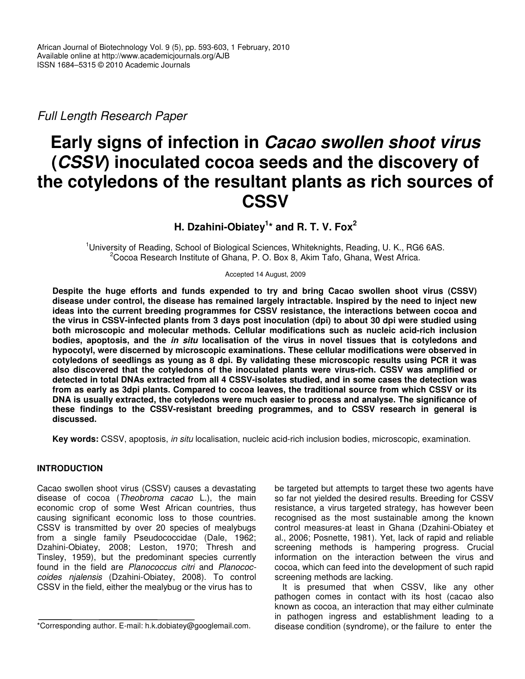*Full Length Research Paper*

# **Early signs of infection in** *Cacao swollen shoot virus* **(***CSSV***) inoculated cocoa seeds and the discovery of the cotyledons of the resultant plants as rich sources of CSSV**

**H. Dzahini-Obiatey 1 \* and R. T. V. Fox 2**

<sup>1</sup>University of Reading, School of Biological Sciences, Whiteknights, Reading, U. K., RG6 6AS.  $2C$ ocoa Research Institute of Ghana, P. O. Box 8, Akim Tafo, Ghana, West Africa.

Accepted 14 August, 2009

**Despite the huge efforts and funds expended to try and bring Cacao swollen shoot virus (CSSV) disease under control, the disease has remained largely intractable. Inspired by the need to inject new ideas into the current breeding programmes for CSSV resistance, the interactions between cocoa and** the virus in CSSV-infected plants from 3 days post inoculation (dpi) to about 30 dpi were studied using **both microscopic and molecular methods. Cellular modifications such as nucleic acid-rich inclusion bodies, apoptosis, and the** *in situ* **localisation of the virus in novel tissues that is cotyledons and hypocotyl, were discerned by microscopic examinations. These cellular modifications were observed in cotyledons of seedlings as young as 8 dpi. By validating these microscopic results using PCR it was also discovered that the cotyledons of the inoculated plants were virus-rich. CSSV was amplified or detected in total DNAs extracted from all 4 CSSV-isolates studied, and in some cases the detection was** from as early as 3dpi plants. Compared to cocoa leaves, the traditional source from which CSSV or its **DNA is usually extracted, the cotyledons were much easier to process and analyse. The significance of these findings to the CSSV-resistant breeding programmes, and to CSSV research in general is discussed.**

**Key words:** CSSV, apoptosis, *in situ* localisation, nucleic acid-rich inclusion bodies, microscopic, examination.

## **INTRODUCTION**

Cacao swollen shoot virus (CSSV) causes a devastating disease of cocoa (*Theobroma cacao* L.), the main economic crop of some West African countries, thus causing significant economic loss to those countries. CSSV is transmitted by over 20 species of mealybugs from a single family Pseudococcidae (Dale, 1962; Dzahini-Obiatey, 2008; Leston, 1970; Thresh and Tinsley, 1959), but the predominant species currently found in the field are *Planococcus citri* and *Planococcoides njalensis* (Dzahini-Obiatey, 2008). To control CSSV in the field, either the mealybug or the virus has to

be targeted but attempts to target these two agents have so far not yielded the desired results. Breeding for CSSV resistance, a virus targeted strategy, has however been recognised as the most sustainable among the known control measures-at least in Ghana (Dzahini-Obiatey et al., 2006; Posnette, 1981). Yet, lack of rapid and reliable screening methods is hampering progress. Crucial information on the interaction between the virus and cocoa, which can feed into the development of such rapid screening methods are lacking.

It is presumed that when CSSV, like any other pathogen comes in contact with its host (cacao also known as cocoa, an interaction that may either culminate in pathogen ingress and establishment leading to a disease condition (syndrome), or the failure to enter the

<sup>\*</sup>Corresponding author. E-mail: h.k.dobiatey@googlemail.com.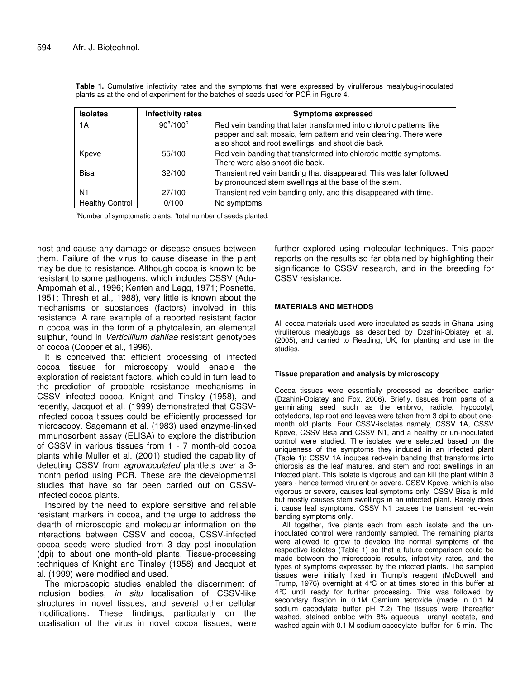| <b>Isolates</b>        | Infectivity rates | <b>Symptoms expressed</b>                                                                                                                                                                       |  |  |
|------------------------|-------------------|-------------------------------------------------------------------------------------------------------------------------------------------------------------------------------------------------|--|--|
| 1А                     | $90^a/100^b$      | Red vein banding that later transformed into chlorotic patterns like<br>pepper and salt mosaic, fern pattern and vein clearing. There were<br>also shoot and root swellings, and shoot die back |  |  |
| Kpeve                  | 55/100            | Red vein banding that transformed into chlorotic mottle symptoms.<br>There were also shoot die back.                                                                                            |  |  |
| <b>Bisa</b>            | 32/100            | Transient red vein banding that disappeared. This was later followed<br>by pronounced stem swellings at the base of the stem.                                                                   |  |  |
| N1                     | 27/100            | Transient red vein banding only, and this disappeared with time.                                                                                                                                |  |  |
| <b>Healthy Control</b> | 0/100             | No symptoms                                                                                                                                                                                     |  |  |

**Table 1.** Cumulative infectivity rates and the symptoms that were expressed by viruliferous mealybug-inoculated plants as at the end of experiment for the batches of seeds used for PCR in Figure 4.

<sup>a</sup>Number of symptomatic plants; <sup>b</sup>total number of seeds planted.

host and cause any damage or disease ensues between them. Failure of the virus to cause disease in the plant may be due to resistance. Although cocoa is known to be resistant to some pathogens, which includes CSSV (Adu-Ampomah et al., 1996; Kenten and Legg, 1971; Posnette, 1951; Thresh et al., 1988), very little is known about the mechanisms or substances (factors) involved in this resistance. A rare example of a reported resistant factor in cocoa was in the form of a phytoalexin, an elemental sulphur, found in *Verticillium dahliae* resistant genotypes of cocoa (Cooper et al., 1996).

It is conceived that efficient processing of infected cocoa tissues for microscopy would enable the exploration of resistant factors, which could in turn lead to the prediction of probable resistance mechanisms in CSSV infected cocoa. Knight and Tinsley (1958), and recently, Jacquot et al. (1999) demonstrated that CSSVinfected cocoa tissues could be efficiently processed for microscopy. Sagemann et al. (1983) used enzyme-linked immunosorbent assay (ELISA) to explore the distribution of CSSV in various tissues from 1 - 7 month-old cocoa plants while Muller et al. (2001) studied the capability of detecting CSSV from *agroinoculated* plantlets over a 3 month period using PCR. These are the developmental studies that have so far been carried out on CSSVinfected cocoa plants.

Inspired by the need to explore sensitive and reliable resistant markers in cocoa, and the urge to address the dearth of microscopic and molecular information on the interactions between CSSV and cocoa, CSSV-infected cocoa seeds were studied from 3 day post inoculation (dpi) to about one month-old plants. Tissue-processing techniques of Knight and Tinsley (1958) and Jacquot et al. (1999) were modified and used.

The microscopic studies enabled the discernment of inclusion bodies, *in situ* localisation of CSSV-like structures in novel tissues, and several other cellular modifications. These findings, particularly on the localisation of the virus in novel cocoa tissues, were further explored using molecular techniques. This paper reports on the results so far obtained by highlighting their significance to CSSV research, and in the breeding for CSSV resistance.

#### **MATERIALS AND METHODS**

All cocoa materials used were inoculated as seeds in Ghana using viruliferous mealybugs as described by Dzahini-Obiatey et al. (2005), and carried to Reading, UK, for planting and use in the studies.

#### **Tissue preparation and analysis by microscopy**

Cocoa tissues were essentially processed as described earlier (Dzahini-Obiatey and Fox, 2006). Briefly, tissues from parts of a germinating seed such as the embryo, radicle, hypocotyl, cotyledons, tap root and leaves were taken from 3 dpi to about onemonth old plants. Four CSSV-isolates namely, CSSV 1A, CSSV Kpeve, CSSV Bisa and CSSV N1, and a healthy or un-inoculated control were studied. The isolates were selected based on the uniqueness of the symptoms they induced in an infected plant (Table 1): CSSV 1A induces red-vein banding that transforms into chlorosis as the leaf matures, and stem and root swellings in an infected plant. This isolate is vigorous and can kill the plant within 3 years - hence termed virulent or severe. CSSV Kpeve, which is also vigorous or severe, causes leaf-symptoms only. CSSV Bisa is mild but mostly causes stem swellings in an infected plant. Rarely does it cause leaf symptoms. CSSV N1 causes the transient red-vein banding symptoms only.

All together, five plants each from each isolate and the uninoculated control were randomly sampled. The remaining plants were allowed to grow to develop the normal symptoms of the respective isolates (Table 1) so that a future comparison could be made between the microscopic results, infectivity rates, and the types of symptoms expressed by the infected plants. The sampled tissues were initially fixed in Trump's reagent (McDowell and Trump, 1976) overnight at 4°C or at times stored in this buffer at 4°C until ready for further processing. This was followed by secondary fixation in 0.1M Osmium tetroxide (made in 0.1 M sodium cacodylate buffer pH 7.2) The tissues were thereafter washed, stained enbloc with 8% aqueous uranyl acetate, and washed again with 0.1 M sodium cacodylate buffer for 5 min. The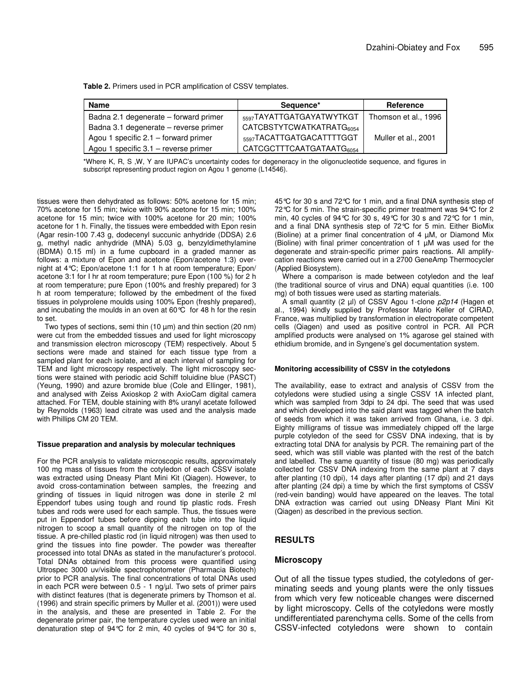| Name                                   | Sequence*                            | Reference            |
|----------------------------------------|--------------------------------------|----------------------|
| Badna 2.1 degenerate - forward primer  | 5597TAYATTGATGAYATWYTKGT             | Thomson et al., 1996 |
| Badna 3.1 degenerate - reverse primer  | CATCBSTYTCWATKATRATG <sub>6054</sub> |                      |
| Agou 1 specific $2.1$ – forward primer | 5597TACATTGATGACATTTTGGT             | Muller et al., 2001  |
| Agou 1 specific 3.1 - reverse primer   | CATCGCTTTCAATGATAATG6054             |                      |

\*Where K, R, S ,W, Y are IUPAC's uncertainty codes for degeneracy in the oligonucleotide sequence, and figures in subscript representing product region on Agou 1 genome (L14546).

tissues were then dehydrated as follows: 50% acetone for 15 min; 70% acetone for 15 min; twice with 90% acetone for 15 min; 100% acetone for 15 min; twice with 100% acetone for 20 min; 100% acetone for 1 h. Finally, the tissues were embedded with Epon resin (Agar resin-100 7.43 g, dodecenyl succunic anhydride (DDSA) 2.6 g, methyl nadic anhydride (MNA) 5.03 g, benzyldimethylamine (BDMA) 0.15 ml) in a fume cupboard in a graded manner as follows: a mixture of Epon and acetone (Epon/acetone 1:3) overnight at 4°C; Epon/acetone 1:1 for 1 h at room temperature; Epon/ acetone 3:1 for I hr at room temperature; pure Epon (100 %) for 2 h at room temperature; pure Epon (100% and freshly prepared) for 3 h at room temperature; followed by the embedment of the fixed tissues in polyprolene moulds using 100% Epon (freshly prepared), and incubating the moulds in an oven at 60°C for 48 h for the resin to set.

Two types of sections, semi thin (10 µm) and thin section (20 nm) were cut from the embedded tissues and used for light microscopy and transmission electron microscopy (TEM) respectively. About 5 sections were made and stained for each tissue type from a sampled plant for each isolate, and at each interval of sampling for TEM and light microscopy respectively. The light microscopy sections were stained with periodic acid Schiff toluidine blue (PASCT) (Yeung, 1990) and azure bromide blue (Cole and Ellinger, 1981), and analysed with Zeiss Axioskop 2 with AxioCam digital camera attached. For TEM, double staining with 8% uranyl acetate followed by Reynolds (1963) lead citrate was used and the analysis made with Phillips CM 20 TEM.

#### **Tissue preparation and analysis by molecular techniques**

For the PCR analysis to validate microscopic results, approximately 100 mg mass of tissues from the cotyledon of each CSSV isolate was extracted using Dneasy Plant Mini Kit (Qiagen). However, to avoid cross-contamination between samples, the freezing and grinding of tissues in liquid nitrogen was done in sterile 2 ml Eppendorf tubes using tough and round tip plastic rods. Fresh tubes and rods were used for each sample. Thus, the tissues were put in Eppendorf tubes before dipping each tube into the liquid nitrogen to scoop a small quantity of the nitrogen on top of the tissue. A pre-chilled plastic rod (in liquid nitrogen) was then used to grind the tissues into fine powder. The powder was thereafter processed into total DNAs as stated in the manufacturer's protocol. Total DNAs obtained from this process were quantified using Ultrospec 3000 uv/visible spectrophotometer (Pharmacia Biotech) prior to PCR analysis. The final concentrations of total DNAs used in each PCR were between 0.5 - 1 ng/µl. Two sets of primer pairs with distinct features (that is degenerate primers by Thomson et al. (1996) and strain specific primers by Muller et al. (2001)) were used in the analysis, and these are presented in Table 2. For the degenerate primer pair, the temperature cycles used were an initial denaturation step of 94°C for 2 min, 40 cycles of 94°C for 30 s, 45°C for 30 s and 72°C for 1 min, and a final DNA synthesis step of 72℃ for 5 min. The strain-specific primer treatment was 94℃ for 2 min, 40 cycles of 94°C for 30 s, 49°C for 30 s and 72°C for 1 min, and a final DNA synthesis step of 72°C for 5 min. Either BioMix (Bioline) at a primer final concentration of 4  $\mu$ M, or Diamond Mix (Bioline) with final primer concentration of 1 µM was used for the degenerate and strain-specific primer pairs reactions. All amplifycation reactions were carried out in a 2700 GeneAmp Thermocycler (Applied Biosystem).

Where a comparison is made between cotyledon and the leaf (the traditional source of virus and DNA) equal quantities (i.e. 100 mg) of both tissues were used as starting materials.

A small quantity (2 µl) of CSSV Agou 1-clone *p2p14* (Hagen et al., 1994) kindly supplied by Professor Mario Keller of CIRAD, France, was multiplied by transformation in electroporate competent cells (Qiagen) and used as positive control in PCR. All PCR amplified products were analysed on 1% agarose gel stained with ethidium bromide, and in Syngene's gel documentation system.

#### **Monitoring accessibility of CSSV in the cotyledons**

The availability, ease to extract and analysis of CSSV from the cotyledons were studied using a single CSSV 1A infected plant, which was sampled from 3dpi to 24 dpi. The seed that was used and which developed into the said plant was tagged when the batch of seeds from which it was taken arrived from Ghana, i.e. 3 dpi. Eighty milligrams of tissue was immediately chipped off the large purple cotyledon of the seed for CSSV DNA indexing, that is by extracting total DNA for analysis by PCR. The remaining part of the seed, which was still viable was planted with the rest of the batch and labelled. The same quantity of tissue (80 mg) was periodically collected for CSSV DNA indexing from the same plant at 7 days after planting (10 dpi), 14 days after planting (17 dpi) and 21 days after planting (24 dpi) a time by which the first symptoms of CSSV (red-vein banding) would have appeared on the leaves. The total DNA extraction was carried out using DNeasy Plant Mini Kit (Qiagen) as described in the previous section.

#### **RESULTS**

#### **Microscopy**

Out of all the tissue types studied, the cotyledons of germinating seeds and young plants were the only tissues from which very few noticeable changes were discerned by light microscopy. Cells of the cotyledons were mostly undifferentiated parenchyma cells. Some of the cells from CSSV-infected cotyledons were shown to contain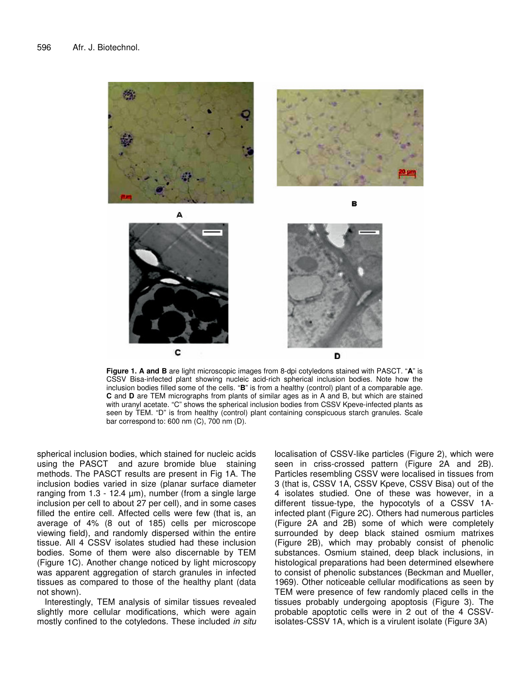

**Figure 1. A and B** are light microscopic images from 8-dpi cotyledons stained with PASCT. "**A**" is CSSV Bisa-infected plant showing nucleic acid-rich spherical inclusion bodies. Note how the inclusion bodies filled some of the cells. "**B**" is from a healthy (control) plant of a comparable age. **C** and **D** are TEM micrographs from plants of similar ages as in A and B, but which are stained with uranyl acetate. "C" shows the spherical inclusion bodies from CSSV Kpeve-infected plants as seen by TEM. "D" is from healthy (control) plant containing conspicuous starch granules. Scale bar correspond to: 600 nm (C), 700 nm (D).

spherical inclusion bodies, which stained for nucleic acids using the PASCT and azure bromide blue staining methods. The PASCT results are present in Fig 1A. The inclusion bodies varied in size (planar surface diameter ranging from  $1.3 - 12.4 \mu m$ , number (from a single large inclusion per cell to about 27 per cell), and in some cases filled the entire cell. Affected cells were few (that is, an average of 4% (8 out of 185) cells per microscope viewing field), and randomly dispersed within the entire tissue. All 4 CSSV isolates studied had these inclusion bodies. Some of them were also discernable by TEM (Figure 1C). Another change noticed by light microscopy was apparent aggregation of starch granules in infected tissues as compared to those of the healthy plant (data not shown).

Interestingly, TEM analysis of similar tissues revealed slightly more cellular modifications, which were again mostly confined to the cotyledons. These included *in situ*

localisation of CSSV-like particles (Figure 2), which were seen in criss-crossed pattern (Figure 2A and 2B). Particles resembling CSSV were localised in tissues from 3 (that is, CSSV 1A, CSSV Kpeve, CSSV Bisa) out of the 4 isolates studied. One of these was however, in a different tissue-type, the hypocotyls of a CSSV 1Ainfected plant (Figure 2C). Others had numerous particles (Figure 2A and 2B) some of which were completely surrounded by deep black stained osmium matrixes (Figure 2B), which may probably consist of phenolic substances. Osmium stained, deep black inclusions, in histological preparations had been determined elsewhere to consist of phenolic substances (Beckman and Mueller, 1969). Other noticeable cellular modifications as seen by TEM were presence of few randomly placed cells in the tissues probably undergoing apoptosis (Figure 3). The probable apoptotic cells were in 2 out of the 4 CSSVisolates-CSSV 1A, which is a virulent isolate (Figure 3A)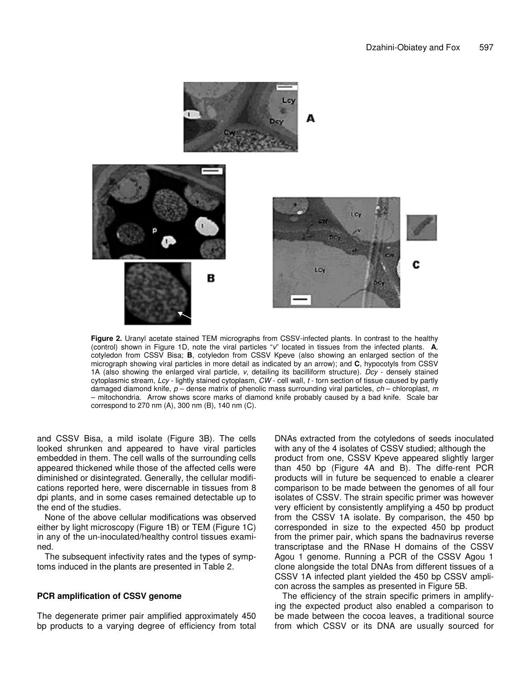

**Figure 2.** Uranyl acetate stained TEM micrographs from CSSV-infected plants. In contrast to the healthy (control) shown in Figure 1D, note the viral particles "*v*" located in tissues from the infected plants. **A**, cotyledon from CSSV Bisa; **B**, cotyledon from CSSV Kpeve (also showing an enlarged section of the micrograph showing viral particles in more detail as indicated by an arrow); and **C**, hypocotyls from CSSV 1A (also showing the enlarged viral particle, *v*, detailing its bacilliform structure). *Dcy* - densely stained cytoplasmic stream, *Lcy* - lightly stained cytoplasm, *CW* - cell wall, *t* - torn section of tissue caused by partly damaged diamond knife, *p* – dense matrix of phenolic mass surrounding viral particles, *ch* – chloroplast, *m* – mitochondria. Arrow shows score marks of diamond knife probably caused by a bad knife. Scale bar correspond to 270 nm (A), 300 nm (B), 140 nm (C).

and CSSV Bisa, a mild isolate (Figure 3B). The cells looked shrunken and appeared to have viral particles embedded in them. The cell walls of the surrounding cells appeared thickened while those of the affected cells were diminished or disintegrated. Generally, the cellular modifications reported here, were discernable in tissues from 8 dpi plants, and in some cases remained detectable up to the end of the studies.

None of the above cellular modifications was observed either by light microscopy (Figure 1B) or TEM (Figure 1C) in any of the un-inoculated/healthy control tissues examined.

The subsequent infectivity rates and the types of symptoms induced in the plants are presented in Table 2.

#### **PCR amplification of CSSV genome**

The degenerate primer pair amplified approximately 450 bp products to a varying degree of efficiency from total

DNAs extracted from the cotyledons of seeds inoculated with any of the 4 isolates of CSSV studied; although the product from one, CSSV Kpeve appeared slightly larger than 450 bp (Figure 4A and B). The diffe-rent PCR products will in future be sequenced to enable a clearer comparison to be made between the genomes of all four isolates of CSSV. The strain specific primer was however very efficient by consistently amplifying a 450 bp product from the CSSV 1A isolate. By comparison, the 450 bp corresponded in size to the expected 450 bp product from the primer pair, which spans the badnavirus reverse transcriptase and the RNase H domains of the CSSV Agou 1 genome. Running a PCR of the CSSV Agou 1 clone alongside the total DNAs from different tissues of a CSSV 1A infected plant yielded the 450 bp CSSV amplicon across the samples as presented in Figure 5B.

The efficiency of the strain specific primers in amplifying the expected product also enabled a comparison to be made between the cocoa leaves, a traditional source from which CSSV or its DNA are usually sourced for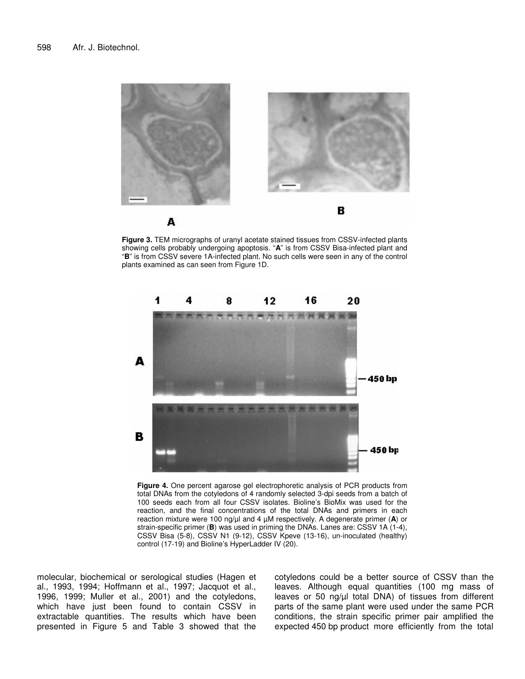

**Figure 3.** TEM micrographs of uranyl acetate stained tissues from CSSV-infected plants showing cells probably undergoing apoptosis. "**A**" is from CSSV Bisa-infected plant and "**B**" is from CSSV severe 1A-infected plant. No such cells were seen in any of the control plants examined as can seen from Figure 1D.



**Figure 4.** One percent agarose gel electrophoretic analysis of PCR products from total DNAs from the cotyledons of 4 randomly selected 3-dpi seeds from a batch of 100 seeds each from all four CSSV isolates. Bioline's BioMix was used for the reaction, and the final concentrations of the total DNAs and primers in each reaction mixture were 100 ng/µl and 4 µM respectively. A degenerate primer (**A**) or strain-specific primer (**B**) was used in priming the DNAs. Lanes are: CSSV 1A (1-4), CSSV Bisa (5-8), CSSV N1 (9-12), CSSV Kpeve (13-16), un-inoculated (healthy) control (17-19) and Bioline's HyperLadder IV (20).

molecular, biochemical or serological studies (Hagen et al., 1993, 1994; Hoffmann et al., 1997; Jacquot et al., 1996, 1999; Muller et al., 2001) and the cotyledons, which have just been found to contain CSSV in extractable quantities. The results which have been presented in Figure 5 and Table 3 showed that the cotyledons could be a better source of CSSV than the leaves. Although equal quantities (100 mg mass of leaves or 50  $\log/\mu$  total DNA) of tissues from different parts of the same plant were used under the same PCR conditions, the strain specific primer pair amplified the expected 450 bp product more efficiently from the total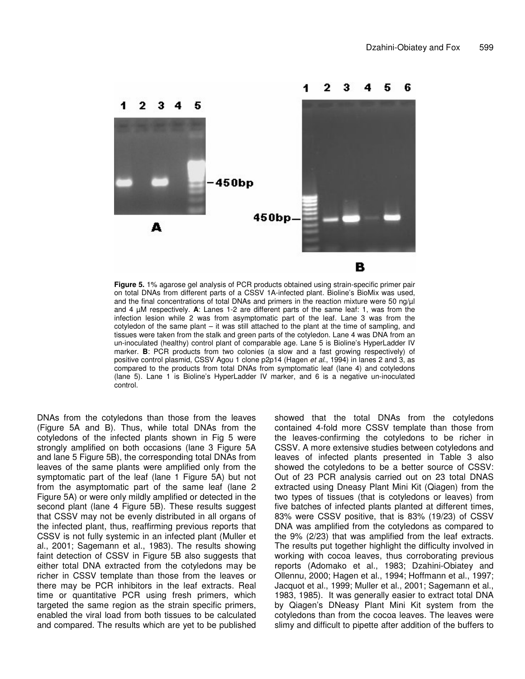

**Figure 5.** 1% agarose gel analysis of PCR products obtained using strain-specific primer pair on total DNAs from different parts of a CSSV 1A-infected plant. Bioline's BioMix was used, and the final concentrations of total DNAs and primers in the reaction mixture were 50 ng/µl and 4 µM respectively. **A**: Lanes 1-2 are different parts of the same leaf: 1, was from the infection lesion while 2 was from asymptomatic part of the leaf. Lane 3 was from the cotyledon of the same plant – it was still attached to the plant at the time of sampling, and tissues were taken from the stalk and green parts of the cotyledon. Lane 4 was DNA from an un-inoculated (healthy) control plant of comparable age. Lane 5 is Bioline's HyperLadder IV marker. **B**: PCR products from two colonies (a slow and a fast growing respectively) of positive control plasmid, CSSV Agou 1 clone p2p14 (Hagen *et al*., 1994) in lanes 2 and 3, as compared to the products from total DNAs from symptomatic leaf (lane 4) and cotyledons (lane 5). Lane 1 is Bioline's HyperLadder IV marker, and 6 is a negative un-inoculated control.

DNAs from the cotyledons than those from the leaves (Figure 5A and B). Thus, while total DNAs from the cotyledons of the infected plants shown in Fig 5 were strongly amplified on both occasions (lane 3 Figure 5A and lane 5 Figure 5B), the corresponding total DNAs from leaves of the same plants were amplified only from the symptomatic part of the leaf (lane 1 Figure 5A) but not from the asymptomatic part of the same leaf (lane 2 Figure 5A) or were only mildly amplified or detected in the second plant (lane 4 Figure 5B). These results suggest that CSSV may not be evenly distributed in all organs of the infected plant, thus, reaffirming previous reports that CSSV is not fully systemic in an infected plant (Muller et al., 2001; Sagemann et al., 1983). The results showing faint detection of CSSV in Figure 5B also suggests that either total DNA extracted from the cotyledons may be richer in CSSV template than those from the leaves or there may be PCR inhibitors in the leaf extracts. Real time or quantitative PCR using fresh primers, which targeted the same region as the strain specific primers, enabled the viral load from both tissues to be calculated and compared. The results which are yet to be published

showed that the total DNAs from the cotyledons contained 4-fold more CSSV template than those from the leaves-confirming the cotyledons to be richer in CSSV. A more extensive studies between cotyledons and leaves of infected plants presented in Table 3 also showed the cotyledons to be a better source of CSSV: Out of 23 PCR analysis carried out on 23 total DNAS extracted using Dneasy Plant Mini Kit (Qiagen) from the two types of tissues (that is cotyledons or leaves) from five batches of infected plants planted at different times, 83% were CSSV positive, that is 83% (19/23) of CSSV DNA was amplified from the cotyledons as compared to the 9% (2/23) that was amplified from the leaf extracts. The results put together highlight the difficulty involved in working with cocoa leaves, thus corroborating previous reports (Adomako et al., 1983; Dzahini-Obiatey and Ollennu, 2000; Hagen et al., 1994; Hoffmann et al., 1997; Jacquot et al., 1999; Muller et al., 2001; Sagemann et al., 1983, 1985). It was generally easier to extract total DNA by Qiagen's DNeasy Plant Mini Kit system from the cotyledons than from the cocoa leaves. The leaves were slimy and difficult to pipette after addition of the buffers to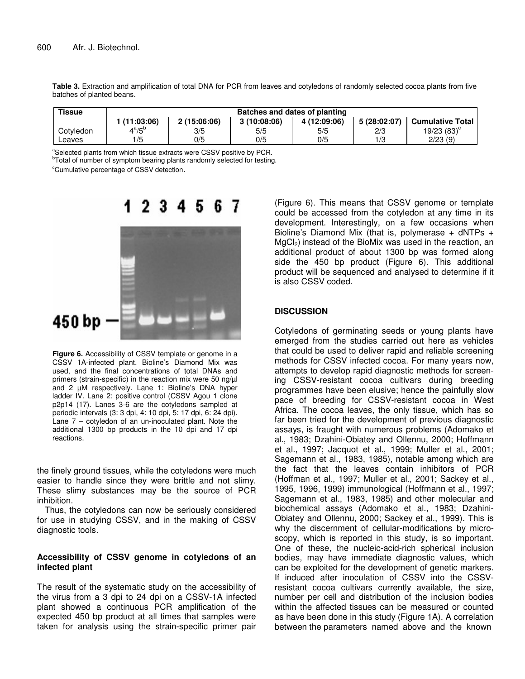**Table 3.** Extraction and amplification of total DNA for PCR from leaves and cotyledons of randomly selected cocoa plants from five batches of planted beans.

| Tissue    | Batches and dates of planting |              |              |              |              |                           |  |  |
|-----------|-------------------------------|--------------|--------------|--------------|--------------|---------------------------|--|--|
|           | 1 (11:03:06)                  | 2 (15:06:06) | 3 (10:08:06) | 4 (12:09:06) | 5 (28:02:07) | <b>Cumulative Total</b>   |  |  |
| Cotvledon | $4^{a}/5^{b}$                 | 3/5          | 5/5          | 5/5          | 2/3          | $19/23$ (83) <sup>c</sup> |  |  |
| ∟eaves    | 1/5                           | 0/5          | 0/5          | 0/5          | 1/3          | 2/23(9)                   |  |  |

<sup>a</sup>Selected plants from which tissue extracts were CSSV positive by PCR. <sup>b</sup> Total of number of symptom bearing plants randomly selected for testing.

<sup>c</sup>Cumulative percentage of CSSV detection.



**Figure 6.** Accessibility of CSSV template or genome in a CSSV 1A-infected plant. Bioline's Diamond Mix was used, and the final concentrations of total DNAs and primers (strain-specific) in the reaction mix were 50 ng/µl and 2 µM respectively. Lane 1: Bioline's DNA hyper ladder IV. Lane 2: positive control (CSSV Agou 1 clone p2p14 (17). Lanes 3-6 are the cotyledons sampled at periodic intervals (3: 3 dpi, 4: 10 dpi, 5: 17 dpi, 6: 24 dpi). Lane 7 – cotyledon of an un-inoculated plant. Note the additional 1300 bp products in the 10 dpi and 17 dpi reactions.

the finely ground tissues, while the cotyledons were much easier to handle since they were brittle and not slimy. These slimy substances may be the source of PCR inhibition.

Thus, the cotyledons can now be seriously considered for use in studying CSSV, and in the making of CSSV diagnostic tools.

## **Accessibility of CSSV genome in cotyledons of an infected plant**

The result of the systematic study on the accessibility of the virus from a 3 dpi to 24 dpi on a CSSV-1A infected plant showed a continuous PCR amplification of the expected 450 bp product at all times that samples were taken for analysis using the strain-specific primer pair (Figure 6). This means that CSSV genome or template could be accessed from the cotyledon at any time in its development. Interestingly, on a few occasions when Bioline's Diamond Mix (that is, polymerase  $+$  dNTPs  $+$ MgCl<sub>2</sub>) instead of the BioMix was used in the reaction, an additional product of about 1300 bp was formed along side the 450 bp product (Figure 6). This additional product will be sequenced and analysed to determine if it is also CSSV coded.

## **DISCUSSION**

Cotyledons of germinating seeds or young plants have emerged from the studies carried out here as vehicles that could be used to deliver rapid and reliable screening methods for CSSV infected cocoa. For many years now, attempts to develop rapid diagnostic methods for screening CSSV-resistant cocoa cultivars during breeding programmes have been elusive; hence the painfully slow pace of breeding for CSSV-resistant cocoa in West Africa. The cocoa leaves, the only tissue, which has so far been tried for the development of previous diagnostic assays, is fraught with numerous problems (Adomako et al., 1983; Dzahini-Obiatey and Ollennu, 2000; Hoffmann et al., 1997; Jacquot et al., 1999; Muller et al., 2001; Sagemann et al., 1983, 1985), notable among which are the fact that the leaves contain inhibitors of PCR (Hoffman et al., 1997; Muller et al., 2001; Sackey et al., 1995, 1996, 1999) immunological (Hoffmann et al., 1997; Sagemann et al., 1983, 1985) and other molecular and biochemical assays (Adomako et al., 1983; Dzahini-Obiatey and Ollennu, 2000; Sackey et al., 1999). This is why the discernment of cellular-modifications by microscopy, which is reported in this study, is so important. One of these, the nucleic-acid-rich spherical inclusion bodies, may have immediate diagnostic values, which can be exploited for the development of genetic markers. If induced after inoculation of CSSV into the CSSVresistant cocoa cultivars currently available, the size, number per cell and distribution of the inclusion bodies within the affected tissues can be measured or counted as have been done in this study (Figure 1A). A correlation between the parameters named above and the known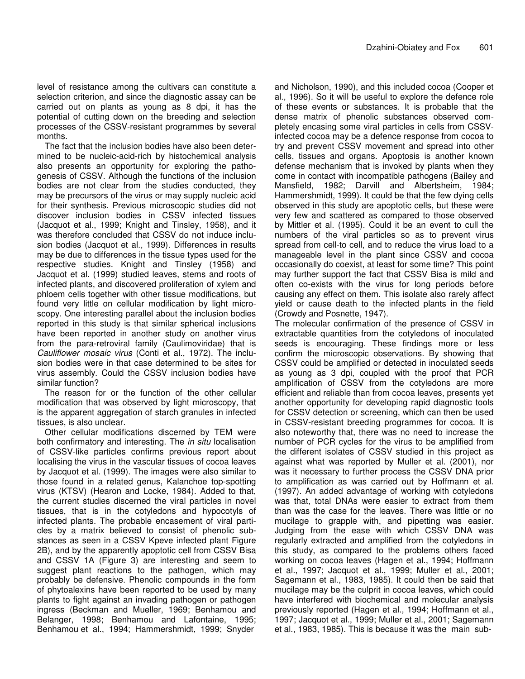level of resistance among the cultivars can constitute a selection criterion, and since the diagnostic assay can be carried out on plants as young as 8 dpi, it has the potential of cutting down on the breeding and selection processes of the CSSV-resistant programmes by several months.

The fact that the inclusion bodies have also been determined to be nucleic-acid-rich by histochemical analysis also presents an opportunity for exploring the pathogenesis of CSSV. Although the functions of the inclusion bodies are not clear from the studies conducted, they may be precursors of the virus or may supply nucleic acid for their synthesis. Previous microscopic studies did not discover inclusion bodies in CSSV infected tissues (Jacquot et al., 1999; Knight and Tinsley, 1958), and it was therefore concluded that CSSV do not induce inclusion bodies (Jacquot et al., 1999). Differences in results may be due to differences in the tissue types used for the respective studies. Knight and Tinsley (1958) and Jacquot et al. (1999) studied leaves, stems and roots of infected plants, and discovered proliferation of xylem and phloem cells together with other tissue modifications, but found very little on cellular modification by light microscopy. One interesting parallel about the inclusion bodies reported in this study is that similar spherical inclusions have been reported in another study on another virus from the para-retroviral family (Caulimoviridae) that is *Cauliflower mosaic virus* (Conti et al., 1972). The inclusion bodies were in that case determined to be sites for virus assembly. Could the CSSV inclusion bodies have similar function?

The reason for or the function of the other cellular modification that was observed by light microscopy, that is the apparent aggregation of starch granules in infected tissues, is also unclear.

Other cellular modifications discerned by TEM were both confirmatory and interesting. The *in situ* localisation of CSSV-like particles confirms previous report about localising the virus in the vascular tissues of cocoa leaves by Jacquot et al. (1999). The images were also similar to those found in a related genus, Kalanchoe top-spotting virus (KTSV) (Hearon and Locke, 1984). Added to that, the current studies discerned the viral particles in novel tissues, that is in the cotyledons and hypocotyls of infected plants. The probable encasement of viral particles by a matrix believed to consist of phenolic substances as seen in a CSSV Kpeve infected plant Figure 2B), and by the apparently apoptotic cell from CSSV Bisa and CSSV 1A (Figure 3) are interesting and seem to suggest plant reactions to the pathogen, which may probably be defensive. Phenolic compounds in the form of phytoalexins have been reported to be used by many plants to fight against an invading pathogen or pathogen ingress (Beckman and Mueller, 1969; Benhamou and Belanger, 1998; Benhamou and Lafontaine, 1995; Benhamou et al., 1994; Hammershmidt, 1999; Snyder

and Nicholson, 1990), and this included cocoa (Cooper et al., 1996). So it will be useful to explore the defence role of these events or substances. It is probable that the dense matrix of phenolic substances observed completely encasing some viral particles in cells from CSSVinfected cocoa may be a defence response from cocoa to try and prevent CSSV movement and spread into other cells, tissues and organs. Apoptosis is another known defense mechanism that is invoked by plants when they come in contact with incompatible pathogens (Bailey and Mansfield, 1982; Darvill and Albertsheim, 1984; Hammershmidt, 1999). It could be that the few dying cells observed in this study are apoptotic cells, but these were very few and scattered as compared to those observed by Mittler et al. (1995). Could it be an event to cull the numbers of the viral particles so as to prevent virus spread from cell-to cell, and to reduce the virus load to a manageable level in the plant since CSSV and cocoa occasionally do coexist, at least for some time? This point may further support the fact that CSSV Bisa is mild and often co-exists with the virus for long periods before causing any effect on them. This isolate also rarely affect yield or cause death to the infected plants in the field (Crowdy and Posnette, 1947).

The molecular confirmation of the presence of CSSV in extractable quantities from the cotyledons of inoculated seeds is encouraging. These findings more or less confirm the microscopic observations. By showing that CSSV could be amplified or detected in inoculated seeds as young as 3 dpi, coupled with the proof that PCR amplification of CSSV from the cotyledons are more efficient and reliable than from cocoa leaves, presents yet another opportunity for developing rapid diagnostic tools for CSSV detection or screening, which can then be used in CSSV-resistant breeding programmes for cocoa. It is also noteworthy that, there was no need to increase the number of PCR cycles for the virus to be amplified from the different isolates of CSSV studied in this project as against what was reported by Muller et al. (2001), nor was it necessary to further process the CSSV DNA prior to amplification as was carried out by Hoffmann et al. (1997). An added advantage of working with cotyledons was that, total DNAs were easier to extract from them than was the case for the leaves. There was little or no mucilage to grapple with, and pipetting was easier. Judging from the ease with which CSSV DNA was regularly extracted and amplified from the cotyledons in this study, as compared to the problems others faced working on cocoa leaves (Hagen et al., 1994; Hoffmann et al., 1997; Jacquot et al., 1999; Muller et al., 2001; Sagemann et al., 1983, 1985). It could then be said that mucilage may be the culprit in cocoa leaves, which could have interfered with biochemical and molecular analysis previously reported (Hagen et al., 1994; Hoffmann et al., 1997; Jacquot et al., 1999; Muller et al., 2001; Sagemann et al., 1983, 1985). This is because it was the main sub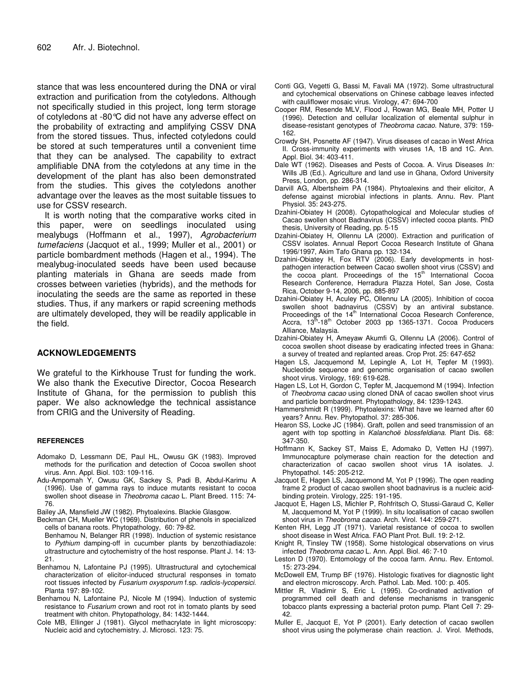stance that was less encountered during the DNA or viral extraction and purification from the cotyledons. Although not specifically studied in this project, long term storage of cotyledons at -80°C did not have any adverse effect on the probability of extracting and amplifying CSSV DNA from the stored tissues. Thus, infected cotyledons could be stored at such temperatures until a convenient time that they can be analysed. The capability to extract amplifiable DNA from the cotyledons at any time in the development of the plant has also been demonstrated from the studies. This gives the cotyledons another advantage over the leaves as the most suitable tissues to use for CSSV research.

It is worth noting that the comparative works cited in this paper, were on seedlings inoculated using mealybugs (Hoffmann et al., 1997), *Agrobacterium tumefaciens* (Jacquot et al., 1999; Muller et al., 2001) or particle bombardment methods (Hagen et al., 1994). The mealybug-inoculated seeds have been used because planting materials in Ghana are seeds made from crosses between varieties (hybrids), and the methods for inoculating the seeds are the same as reported in these studies. Thus, if any markers or rapid screening methods are ultimately developed, they will be readily applicable in the field.

## **ACKNOWLEDGEMENTS**

We grateful to the Kirkhouse Trust for funding the work. We also thank the Executive Director, Cocoa Research Institute of Ghana, for the permission to publish this paper. We also acknowledge the technical assistance from CRIG and the University of Reading.

#### **REFERENCES**

- Adomako D, Lessmann DE, Paul HL, Owusu GK (1983). Improved methods for the purification and detection of Cocoa swollen shoot virus. Ann. Appl. Biol. 103: 109-116.
- Adu-Ampomah Y, Owusu GK, Sackey S, Padi B, Abdul-Karimu A (1996). Use of gamma rays to induce mutants resistant to cocoa swollen shoot disease in *Theobroma cacao* L. Plant Breed. 115: 74- 76.
- Bailey JA, Mansfield JW (1982). Phytoalexins. Blackie Glasgow.
- Beckman CH, Mueller WC (1969). Distribution of phenols in specialized cells of banana roots. Phytopathology, 60: 79-82.
- Benhamou N, Belanger RR (1998). Induction of systemic resistance to *Pythium* damping-off in cucumber plants by benzothiadiazole: ultrastructure and cytochemistry of the host response. Plant J. 14: 13- 21.
- Benhamou N, Lafontaine PJ (1995). Ultrastructural and cytochemical characterization of elicitor-induced structural responses in tomato root tissues infected by *Fusarium oxysporum* f.sp. *radicis-lycopersici.* Planta 197: 89-102.
- Benhamou N, Lafontaine PJ, Nicole M (1994). Induction of systemic resistance to *Fusarium* crown and root rot in tomato plants by seed treatment with chiton. Phytopathology, 84: 1432-1444.
- Cole MB, Ellinger J (1981). Glycol methacrylate in light microscopy: Nucleic acid and cytochemistry. J. Microsci. 123: 75.
- Conti GG, Vegetti G, Bassi M, Favali MA (1972). Some ultrastructural and cytochemical observations on Chinese cabbage leaves infected with cauliflower mosaic virus. Virology, 47: 694-700
- Cooper RM, Resende MLV, Flood J, Rowan MG, Beale MH, Potter U (1996). Detection and cellular localization of elemental sulphur in disease-resistant genotypes of *Theobroma cacao.* Nature, 379: 159- 162.
- Crowdy SH, Posnette AF (1947). Virus diseases of cacao in West Africa II. Cross-immunity experiments with viruses 1A, 1B and 1C. Ann. Appl. Biol. 34: 403-411.
- Dale WT (1962). Diseases and Pests of Cocoa. A. Virus Diseases *In:* Wills JB (Ed.). Agriculture and land use in Ghana, Oxford University Press, London, pp. 286-314.
- Darvill AG, Albertsheim PA (1984). Phytoalexins and their elicitor, A defense against microbial infections in plants. Annu. Rev. Plant Physiol. 35: 243-275.
- Dzahini-Obiatey H (2008). Cytopathological and Molecular studies of Cacao swollen shoot Badnavirus (CSSV) infected cocoa plants. PhD thesis, University of Reading, pp. 5-15
- Dzahini-Obiatey H, Ollennu LA (2000). Extraction and purification of CSSV isolates. Annual Report Cocoa Research Institute of Ghana 1996/1997, Akim Tafo Ghana pp. 132-134.
- Dzahini-Obiatey H, Fox RTV (2006). Early developments in hostpathogen interaction between Cacao swollen shoot virus (CSSV) and the cocoa plant. Proceedings of the 15<sup>th</sup> International Cocoa Research Conference, Herradura Plazza Hotel, San Jose, Costa Rica, October 9-14, 2006, pp. 885-897
- Dzahini-Obiatey H, Aculey PC, Ollennu LA (2005). Inhibition of cocoa swollen shoot badnavirus (CSSV) by an antiviral substance. Proceedings of the 14<sup>th</sup> International Cocoa Research Conference, Accra, 13<sup>th</sup>-18<sup>th</sup> October 2003 pp 1365-1371. Cocoa Producers Alliance, Malaysia.
- Dzahini-Obiatey H, Ameyaw Akumfi G, Ollennu LA (2006). Control of cocoa swollen shoot disease by eradicating infected trees in Ghana: a survey of treated and replanted areas. Crop Prot. 25: 647-652
- Hagen LS, Jacquemond M, Lepingle A, Lot H, Tepfer M (1993). Nucleotide sequence and genomic organisation of cacao swollen shoot virus. Virology, 169: 619-628.
- Hagen LS, Lot H, Gordon C, Tepfer M, Jacquemond M (1994). Infection of *Theobroma cacao* using cloned DNA of cacao swollen shoot virus and particle bombardment. Phytopathology, 84: 1239-1243.
- Hammershmidt R (1999). Phytoalexins: What have we learned after 60 years? Annu. Rev. Phytopathol. 37: 285-306.
- Hearon SS, Locke JC (1984). Graft, pollen and seed transmission of an agent with top spotting in *Kalanchoë blossfeldiana*. Plant Dis. 68: 347-350.
- Hoffmann K, Sackey ST, Maiss E, Adomako D, Vetten HJ (1997). Immunocapture polymerase chain reaction for the detection and characterization of cacao swollen shoot virus 1A isolates. J. Phytopathol. 145: 205-212.
- Jacquot E, Hagen LS, Jacquemond M, Yot P (1996). The open reading frame 2 product of cacao swollen shoot badnavirus is a nucleic acidbinding protein. Virology, 225: 191-195.
- Jacquot E, Hagen LS, Michler P, Rohfritsch O, Stussi-Garaud C, Keller M, Jacquemond M, Yot P (1999). In situ localisation of cacao swollen shoot virus in *Theobroma cacao*. Arch. Virol. 144: 259-271.
- Kenten RH, Legg JT (1971). Varietal resistance of cocoa to swollen shoot disease in West Africa. FAO Plant Prot. Bull. 19: 2-12.
- Knight R, Tinsley TW (1958). Some histological observations on virus infected *Theobroma cacao* L. Ann. Appl. Biol. 46: 7-10
- Leston D (1970). Entomology of the cocoa farm. Annu. Rev. Entomol. 15: 273-294.
- McDowell EM, Trump BF (1976). Histologic fixatives for diagnostic light and electron microscopy. Arch. Pathol. Lab. Med. 100: p. 405.
- Mittler R, Vladimir S, Eric L (1995). Co-ordinated activation of programmed cell death and defense mechanisms in transgenic tobacco plants expressing a bacterial proton pump. Plant Cell 7: 29- 42.
- Muller E, Jacquot E, Yot P (2001). Early detection of cacao swollen shoot virus using the polymerase chain reaction. J. Virol. Methods,